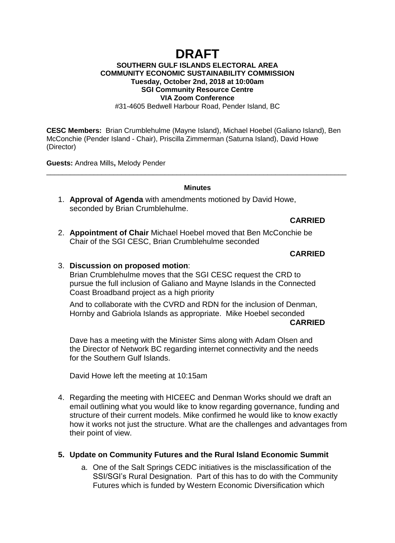# **DRAFT**

## **SOUTHERN GULF ISLANDS ELECTORAL AREA COMMUNITY ECONOMIC SUSTAINABILITY COMMISSION Tuesday, October 2nd, 2018 at 10:00am SGI Community Resource Centre VIA Zoom Conference**

#31-4605 Bedwell Harbour Road, Pender Island, BC

**CESC Members:** Brian Crumblehulme (Mayne Island), Michael Hoebel (Galiano Island), Ben McConchie (Pender Island - Chair), Priscilla Zimmerman (Saturna Island), David Howe (Director)

**Guests:** Andrea Mills**,** Melody Pender

#### **Minutes**

\_\_\_\_\_\_\_\_\_\_\_\_\_\_\_\_\_\_\_\_\_\_\_\_\_\_\_\_\_\_\_\_\_\_\_\_\_\_\_\_\_\_\_\_\_\_\_\_\_\_\_\_\_\_\_\_\_\_\_\_\_\_\_\_\_\_\_\_\_\_\_\_\_\_\_\_

1. **Approval of Agenda** with amendments motioned by David Howe, seconded by Brian Crumblehulme.

### **CARRIED**

2. **Appointment of Chair** Michael Hoebel moved that Ben McConchie be Chair of the SGI CESC, Brian Crumblehulme seconded

### **CARRIED**

#### 3. **Discussion on proposed motion**:

Brian Crumblehulme moves that the SGI CESC request the CRD to pursue the full inclusion of Galiano and Mayne Islands in the Connected Coast Broadband project as a high priority

And to collaborate with the CVRD and RDN for the inclusion of Denman, Hornby and Gabriola Islands as appropriate. Mike Hoebel seconded **CARRIED**

Dave has a meeting with the Minister Sims along with Adam Olsen and the Director of Network BC regarding internet connectivity and the needs for the Southern Gulf Islands.

David Howe left the meeting at 10:15am

4. Regarding the meeting with HICEEC and Denman Works should we draft an email outlining what you would like to know regarding governance, funding and structure of their current models. Mike confirmed he would like to know exactly how it works not just the structure. What are the challenges and advantages from their point of view.

### **5. Update on Community Futures and the Rural Island Economic Summit**

a. One of the Salt Springs CEDC initiatives is the misclassification of the SSI/SGI's Rural Designation. Part of this has to do with the Community Futures which is funded by Western Economic Diversification which